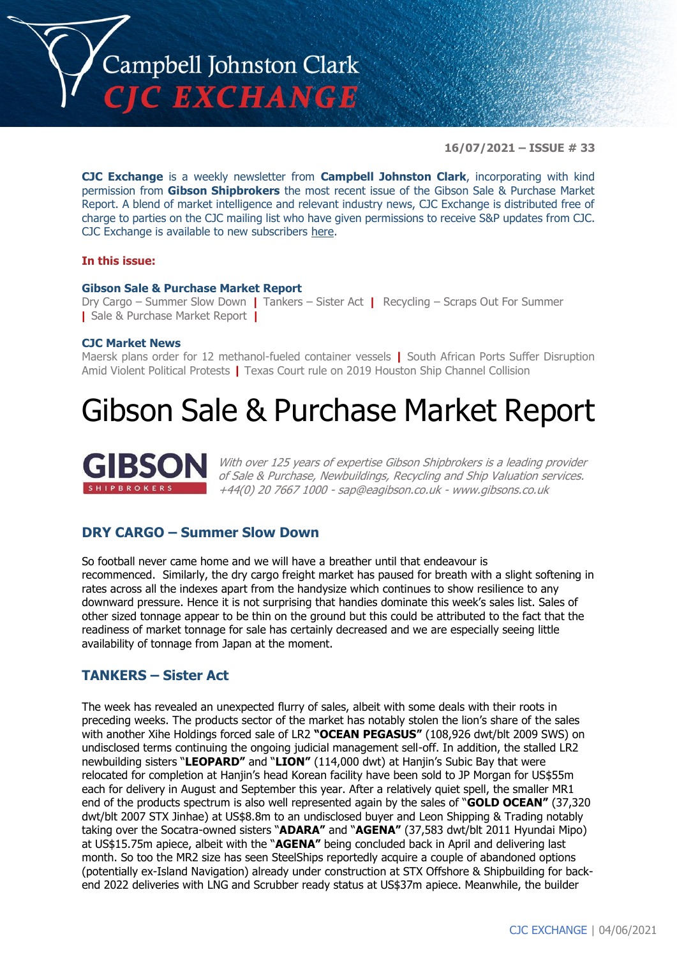

**16/07/2021 – ISSUE # 33**

**CJC Exchange** is a weekly newsletter from **Campbell Johnston Clark**, incorporating with kind permission from **Gibson Shipbrokers** the most recent issue of the Gibson Sale & Purchase Market Report. A blend of market intelligence and relevant industry news, CJC Exchange is distributed free of charge to parties on the CJC mailing list who have given permissions to receive S&P updates from CJC. CJC Exchange is available to new subscribers [here.](mailto:jamesc@cjclaw.com?subject=CJC%20Exchange%20sign-up)

### **In this issue:**

### **Gibson Sale & Purchase Market Report**

Dry Cargo – Summer Slow Down **|** Tankers – Sister Act **|** Recycling – Scraps Out For Summer **|** Sale & Purchase Market Report **|**

### **CJC Market News**

Maersk plans order for 12 methanol-fueled container vessels **|** South African Ports Suffer Disruption Amid Violent Political Protests **|** Texas Court rule on 2019 Houston Ship Channel Collision

### Gibson Sale & Purchase Market Report



With over 125 years of expertise Gibson Shipbrokers is a leading provider of Sale & Purchase, Newbuildings, Recycling and Ship Valuation services. +44(0) 20 7667 1000 - [sap@eagibson.co.uk](mailto:sap@eagibson.co.uk) - [www.gibsons.co.uk](https://protect-eu.mimecast.com/s/VO6nCGZzRS60KqcK1jQh/)

### **DRY CARGO – Summer Slow Down**

So football never came home and we will have a breather until that endeavour is recommenced. Similarly, the dry cargo freight market has paused for breath with a slight softening in rates across all the indexes apart from the handysize which continues to show resilience to any downward pressure. Hence it is not surprising that handies dominate this week's sales list. Sales of other sized tonnage appear to be thin on the ground but this could be attributed to the fact that the readiness of market tonnage for sale has certainly decreased and we are especially seeing little availability of tonnage from Japan at the moment.

### **TANKERS – Sister Act**

The week has revealed an unexpected flurry of sales, albeit with some deals with their roots in preceding weeks. The products sector of the market has notably stolen the lion's share of the sales with another Xihe Holdings forced sale of LR2 **"OCEAN PEGASUS"** (108,926 dwt/blt 2009 SWS) on undisclosed terms continuing the ongoing judicial management sell-off. In addition, the stalled LR2 newbuilding sisters "**LEOPARD"** and "**LION"** (114,000 dwt) at Hanjin's Subic Bay that were relocated for completion at Hanjin's head Korean facility have been sold to JP Morgan for US\$55m each for delivery in August and September this year. After a relatively quiet spell, the smaller MR1 end of the products spectrum is also well represented again by the sales of "**GOLD OCEAN"** (37,320 dwt/blt 2007 STX Jinhae) at US\$8.8m to an undisclosed buyer and Leon Shipping & Trading notably taking over the Socatra-owned sisters "**ADARA"** and "**AGENA"** (37,583 dwt/blt 2011 Hyundai Mipo) at US\$15.75m apiece, albeit with the "**AGENA"** being concluded back in April and delivering last month. So too the MR2 size has seen SteelShips reportedly acquire a couple of abandoned options (potentially ex-Island Navigation) already under construction at STX Offshore & Shipbuilding for backend 2022 deliveries with LNG and Scrubber ready status at US\$37m apiece. Meanwhile, the builder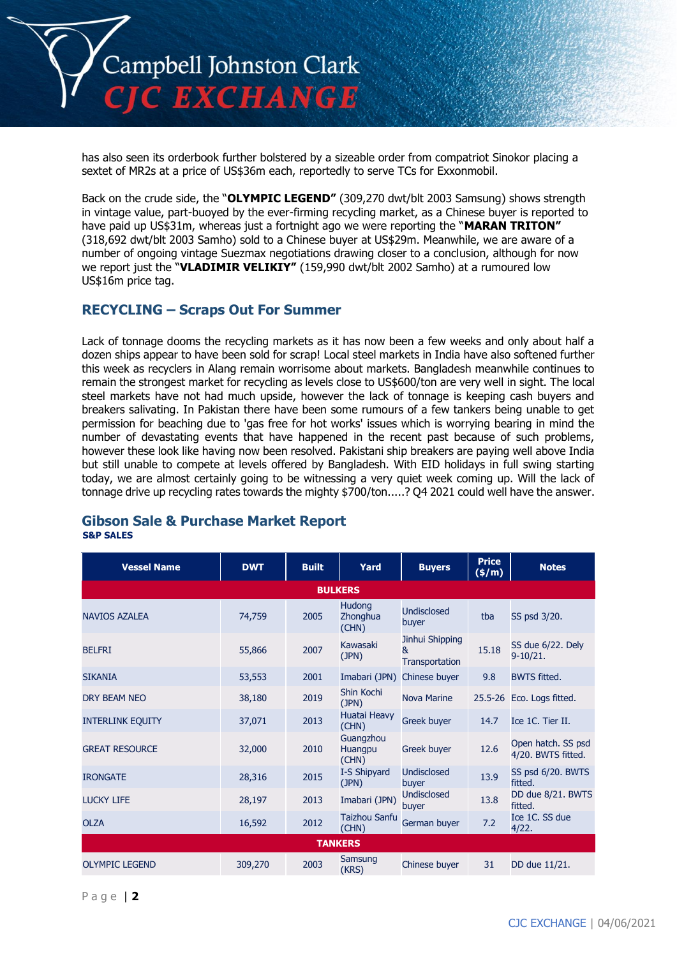

has also seen its orderbook further bolstered by a sizeable order from compatriot Sinokor placing a sextet of MR2s at a price of US\$36m each, reportedly to serve TCs for Exxonmobil.

Back on the crude side, the "**OLYMPIC LEGEND"** (309,270 dwt/blt 2003 Samsung) shows strength in vintage value, part-buoyed by the ever-firming recycling market, as a Chinese buyer is reported to have paid up US\$31m, whereas just a fortnight ago we were reporting the "**MARAN TRITON"** (318,692 dwt/blt 2003 Samho) sold to a Chinese buyer at US\$29m. Meanwhile, we are aware of a number of ongoing vintage Suezmax negotiations drawing closer to a conclusion, although for now we report just the "**VLADIMIR VELIKIY"** (159,990 dwt/blt 2002 Samho) at a rumoured low US\$16m price tag.

### **RECYCLING – Scraps Out For Summer**

Lack of tonnage dooms the recycling markets as it has now been a few weeks and only about half a dozen ships appear to have been sold for scrap! Local steel markets in India have also softened further this week as recyclers in Alang remain worrisome about markets. Bangladesh meanwhile continues to remain the strongest market for recycling as levels close to US\$600/ton are very well in sight. The local steel markets have not had much upside, however the lack of tonnage is keeping cash buyers and breakers salivating. In Pakistan there have been some rumours of a few tankers being unable to get permission for beaching due to 'gas free for hot works' issues which is worrying bearing in mind the number of devastating events that have happened in the recent past because of such problems, however these look like having now been resolved. Pakistani ship breakers are paying well above India but still unable to compete at levels offered by Bangladesh. With EID holidays in full swing starting today, we are almost certainly going to be witnessing a very quiet week coming up. Will the lack of tonnage drive up recycling rates towards the mighty \$700/ton.....? Q4 2021 could well have the answer.

### **Gibson Sale & Purchase Market Report S&P SALES**

| <b>Vessel Name</b>      | <b>DWT</b> | <b>Built</b> | Yard                               | <b>Buyers</b>                          | <b>Price</b><br>(\$/m) | <b>Notes</b>                             |
|-------------------------|------------|--------------|------------------------------------|----------------------------------------|------------------------|------------------------------------------|
|                         |            |              | <b>BULKERS</b>                     |                                        |                        |                                          |
| <b>NAVIOS AZALEA</b>    | 74,759     | 2005         | <b>Hudong</b><br>Zhonghua<br>(CHN) | <b>Undisclosed</b><br>buyer            | tba                    | SS psd 3/20.                             |
| <b>BELFRI</b>           | 55,866     | 2007         | Kawasaki<br>(JPN)                  | Jinhui Shipping<br>&<br>Transportation | 15.18                  | SS due 6/22. Dely<br>9-10/21.            |
| <b>SIKANIA</b>          | 53,553     | 2001         | Imabari (JPN)                      | Chinese buyer                          | 9.8                    | <b>BWTS fitted.</b>                      |
| <b>DRY BEAM NEO</b>     | 38,180     | 2019         | Shin Kochi<br>(JPN)                | <b>Nova Marine</b>                     |                        | 25.5-26 Eco. Logs fitted.                |
| <b>INTERLINK EQUITY</b> | 37,071     | 2013         | Huatai Heavy<br>(CHN)              | <b>Greek buyer</b>                     | 14.7                   | Ice 1C. Tier II.                         |
| <b>GREAT RESOURCE</b>   | 32,000     | 2010         | Guangzhou<br>Huangpu<br>(CHN)      | <b>Greek buyer</b>                     | 12.6                   | Open hatch. SS psd<br>4/20. BWTS fitted. |
| <b>IRONGATE</b>         | 28,316     | 2015         | I-S Shipyard<br>(JPN)              | Undisclosed<br>buyer                   | 13.9                   | SS psd 6/20. BWTS<br>fitted.             |
| <b>LUCKY LIFE</b>       | 28,197     | 2013         | Imabari (JPN)                      | <b>Undisclosed</b><br>buyer            | 13.8                   | DD due 8/21. BWTS<br>fitted.             |
| <b>OLZA</b>             | 16,592     | 2012         | <b>Taizhou Sanfu</b><br>(CHN)      | German buyer                           | 7.2                    | Ice 1C. SS due<br>4/22.                  |
|                         |            |              | <b>TANKERS</b>                     |                                        |                        |                                          |
| <b>OLYMPIC LEGEND</b>   | 309,270    | 2003         | Samsung<br>(KRS)                   | Chinese buyer                          | 31                     | DD due 11/21.                            |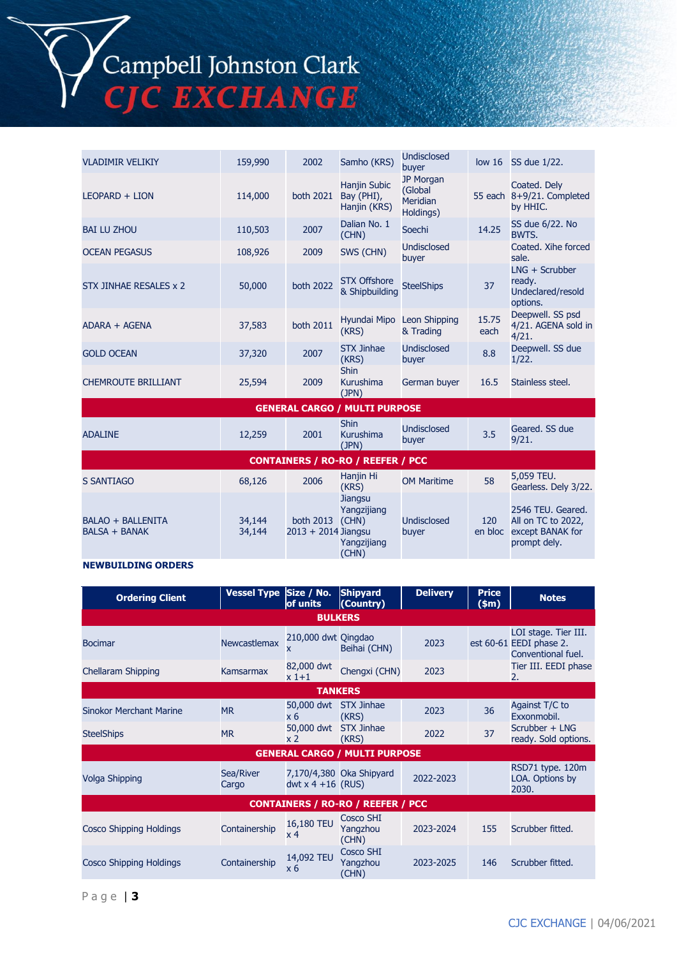## Campbell Johnston Clark<br>CJC EXCHANGE

| <b>VLADIMIR VELIKIY</b>                          | 159,990          | 2002                                   | Samho (KRS)                                           | <b>Undisclosed</b><br>buyer                          | low <sub>16</sub> | SS due 1/22.                                                                |
|--------------------------------------------------|------------------|----------------------------------------|-------------------------------------------------------|------------------------------------------------------|-------------------|-----------------------------------------------------------------------------|
| LEOPARD + LION                                   | 114,000          | both 2021                              | <b>Hanjin Subic</b><br>Bay (PHI),<br>Hanjin (KRS)     | JP Morgan<br>(Global<br><b>Meridian</b><br>Holdings) | 55 each           | Coated. Dely<br>8+9/21. Completed<br>by HHIC.                               |
| <b>BAI LU ZHOU</b>                               | 110,503          | 2007                                   | Dalian No. 1<br>(CHN)                                 | Soechi                                               | 14.25             | SS due 6/22. No<br><b>BWTS.</b>                                             |
| <b>OCEAN PEGASUS</b>                             | 108,926          | 2009                                   | SWS (CHN)                                             | <b>Undisclosed</b><br>buyer                          |                   | Coated. Xihe forced<br>sale.                                                |
| STX JINHAE RESALES x 2                           | 50,000           | <b>both 2022</b>                       | <b>STX Offshore</b><br>& Shipbuilding                 | <b>SteelShips</b>                                    | 37                | $LNG + Scrubber$<br>ready.<br>Undeclared/resold<br>options.                 |
| ADARA + AGENA                                    | 37,583           | both 2011                              | Hyundai Mipo Leon Shipping<br>(KRS)                   | & Trading                                            | 15.75<br>each     | Deepwell. SS psd<br>4/21. AGENA sold in<br>4/21.                            |
| <b>GOLD OCEAN</b>                                | 37,320           | 2007                                   | <b>STX Jinhae</b><br>(KRS)                            | <b>Undisclosed</b><br>buyer                          | 8.8               | Deepwell. SS due<br>1/22.                                                   |
| <b>CHEMROUTE BRILLIANT</b>                       | 25,594           | 2009                                   | <b>Shin</b><br>Kurushima<br>(JPN)                     | German buyer                                         | 16.5              | Stainless steel.                                                            |
|                                                  |                  |                                        | <b>GENERAL CARGO / MULTI PURPOSE</b>                  |                                                      |                   |                                                                             |
| <b>ADALINE</b>                                   | 12,259           | 2001                                   | <b>Shin</b><br><b>Kurushima</b><br>(JPN)              | Undisclosed<br>buyer                                 | 3.5               | Geared. SS due<br>9/21.                                                     |
|                                                  |                  |                                        | <b>CONTAINERS / RO-RO / REEFER / PCC</b>              |                                                      |                   |                                                                             |
| <b>S SANTIAGO</b>                                | 68,126           | 2006                                   | Hanjin Hi<br>(KRS)                                    | <b>OM Maritime</b>                                   | 58                | 5,059 TEU.<br>Gearless. Dely 3/22.                                          |
| <b>BALAO + BALLENITA</b><br><b>BALSA + BANAK</b> | 34,144<br>34,144 | both 2013 (CHN)<br>2013 + 2014 Jiangsu | <b>Jiangsu</b><br>Yangzijiang<br>Yangzijiang<br>(CHN) | <b>Undisclosed</b><br>buyer                          | 120<br>en bloc    | 2546 TEU. Geared.<br>All on TC to 2022,<br>except BANAK for<br>prompt dely. |

### **NEWBUILDING ORDERS**

| <b>Ordering Client</b>         | Vessel Type Size / No. | of units                     | <b>Shipyard</b><br>(Country)             | <b>Delivery</b> | <b>Price</b><br>\$m\$ | <b>Notes</b>                                                          |
|--------------------------------|------------------------|------------------------------|------------------------------------------|-----------------|-----------------------|-----------------------------------------------------------------------|
|                                |                        | <b>BULKERS</b>               |                                          |                 |                       |                                                                       |
| <b>Bocimar</b>                 | <b>Newcastlemax</b>    | 210,000 dwt Qingdao<br>x.    | Beihai (CHN)                             | 2023            |                       | LOI stage. Tier III.<br>est 60-61 EEDI phase 2.<br>Conventional fuel. |
| Chellaram Shipping             | Kamsarmax              | 82,000 dwt<br>$x1+1$         | Chengxi (CHN)                            | 2023            |                       | Tier III. EEDI phase<br>2.                                            |
|                                |                        | <b>TANKERS</b>               |                                          |                 |                       |                                                                       |
| <b>Sinokor Merchant Marine</b> | <b>MR</b>              | 50,000 dwt<br>x 6            | <b>STX Jinhae</b><br>(KRS)               | 2023            | 36                    | Against T/C to<br>Exxonmobil.                                         |
| <b>SteelShips</b>              | <b>MR</b>              | 50,000 dwt<br>x <sub>2</sub> | <b>STX Jinhae</b><br>(KRS)               | 2022            | 37                    | Scrubber + LNG<br>ready. Sold options.                                |
|                                |                        |                              | <b>GENERAL CARGO / MULTI PURPOSE</b>     |                 |                       |                                                                       |
| Volga Shipping                 | Sea/River<br>Cargo     | dwt $x$ 4 +16 (RUS)          | 7,170/4,380 Oka Shipyard                 | 2022-2023       |                       | RSD71 type. 120m<br>LOA. Options by<br>2030.                          |
|                                |                        |                              | <b>CONTAINERS / RO-RO / REEFER / PCC</b> |                 |                       |                                                                       |
| <b>Cosco Shipping Holdings</b> | Containership          | 16,180 TEU<br>x 4            | Cosco SHI<br>Yangzhou<br>(CHN)           | 2023-2024       | 155                   | Scrubber fitted.                                                      |
| <b>Cosco Shipping Holdings</b> | Containership          | 14,092 TEU<br>x <sub>6</sub> | Cosco SHI<br>Yangzhou<br>(CHN)           | 2023-2025       | 146                   | Scrubber fitted.                                                      |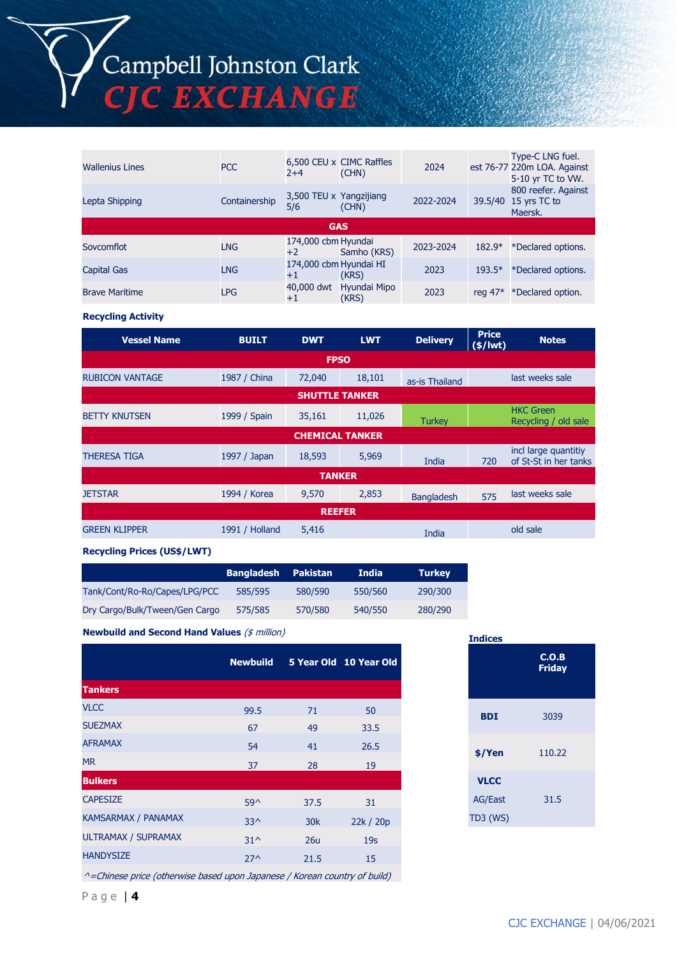# Campbell Johnston Clark<br>CJC EXCHANGE

| <b>Wallenius Lines</b> | <b>PCC</b>    | $2+4$                          | 6,500 CEU x CIMC Raffles<br>(CHN) | 2024      |           | Type-C LNG fuel.<br>est 76-77 220m LOA. Against<br>5-10 yr TC to VW. |
|------------------------|---------------|--------------------------------|-----------------------------------|-----------|-----------|----------------------------------------------------------------------|
| Lepta Shipping         | Containership | 3,500 TEU x Yangzijiang<br>5/6 | (CHN)                             | 2022-2024 | 39.5/40   | 800 reefer. Against<br>15 yrs TC to<br>Maersk.                       |
|                        |               |                                | <b>GAS</b>                        |           |           |                                                                      |
| Sovcomflot             | <b>LNG</b>    | 174,000 cbm Hyundai<br>$+2$    | Samho (KRS)                       | 2023-2024 | $182.9*$  | *Declared options.                                                   |
| <b>Capital Gas</b>     | <b>LNG</b>    | 174,000 cbm Hyundai HI<br>$+1$ | (KRS)                             | 2023      | $193.5*$  | *Declared options.                                                   |
| <b>Brave Maritime</b>  | <b>LPG</b>    | 40,000 dwt<br>$+1$             | Hyundai Mipo<br>(KRS)             | 2023      | reg $47*$ | *Declared option.                                                    |

**Recycling Activity**

| <b>Vessel Name</b>     | <b>BUILT</b>   | <b>DWT</b>             | <b>LWT</b> | <b>Delivery</b>   | <b>Price</b><br>$(\frac{1}{2})$ | <b>Notes</b>                                  |
|------------------------|----------------|------------------------|------------|-------------------|---------------------------------|-----------------------------------------------|
|                        |                | <b>FPSO</b>            |            |                   |                                 |                                               |
| <b>RUBICON VANTAGE</b> | 1987 / China   | 72,040                 | 18,101     | as-is Thailand    |                                 | last weeks sale                               |
|                        |                | <b>SHUTTLE TANKER</b>  |            |                   |                                 |                                               |
| <b>BETTY KNUTSEN</b>   | 1999 / Spain   | 35,161                 | 11,026     | <b>Turkey</b>     |                                 | <b>HKC Green</b><br>Recycling / old sale      |
|                        |                | <b>CHEMICAL TANKER</b> |            |                   |                                 |                                               |
| <b>THERESA TIGA</b>    | 1997 / Japan   | 18,593                 | 5,969      | India             | 720                             | incl large quantitiy<br>of St-St in her tanks |
|                        |                | <b>TANKER</b>          |            |                   |                                 |                                               |
| <b>JETSTAR</b>         | 1994 / Korea   | 9,570                  | 2,853      | <b>Bangladesh</b> | 575                             | last weeks sale                               |
|                        |                | <b>REEFER</b>          |            |                   |                                 |                                               |
| <b>GREEN KLIPPER</b>   | 1991 / Holland | 5,416                  |            | India             |                                 | old sale                                      |

#### **Recycling Prices (US\$/LWT)**

|                                | <b>Bangladesh</b> | Pakistan | India   | <b>Turkey</b> |
|--------------------------------|-------------------|----------|---------|---------------|
| Tank/Cont/Ro-Ro/Capes/LPG/PCC  | 585/595           | 580/590  | 550/560 | 290/300       |
| Dry Cargo/Bulk/Tween/Gen Cargo | 575/585           | 570/580  | 540/550 | 280/290       |

**Newbuild and Second Hand Values** (\$ million)

|                     | <b>Newbuild</b> |                 | 5 Year Old 10 Year Old |
|---------------------|-----------------|-----------------|------------------------|
| <b>Tankers</b>      |                 |                 |                        |
| <b>VLCC</b>         | 99.5            | 71              | 50                     |
| <b>SUEZMAX</b>      | 67              | 49              | 33.5                   |
| <b>AFRAMAX</b>      | 54              | 41              | 26.5                   |
| <b>MR</b>           | 37              | 28              | 19                     |
| <b>Bulkers</b>      |                 |                 |                        |
| <b>CAPESIZE</b>     | $59^{\wedge}$   | 37.5            | 31                     |
| KAMSARMAX / PANAMAX | $33^$           | 30 <sub>k</sub> | 22k / 20p              |
| ULTRAMAX / SUPRAMAX | $31^{\circ}$    | 26u             | 19 <sub>S</sub>        |
| <b>HANDYSIZE</b>    | $27^{\wedge}$   | 21.5            | 15                     |
|                     |                 |                 |                        |

^=Chinese price (otherwise based upon Japanese / Korean country of build)

| <b>Indices</b>                                   |                        |  |
|--------------------------------------------------|------------------------|--|
|                                                  | C.O.B<br><b>Friday</b> |  |
| <b>BDI</b>                                       | 3039                   |  |
| \$/Yen                                           | 110.22                 |  |
| <b>VLCC</b><br><b>AG/East</b><br><b>TD3 (WS)</b> | 31.5                   |  |
|                                                  |                        |  |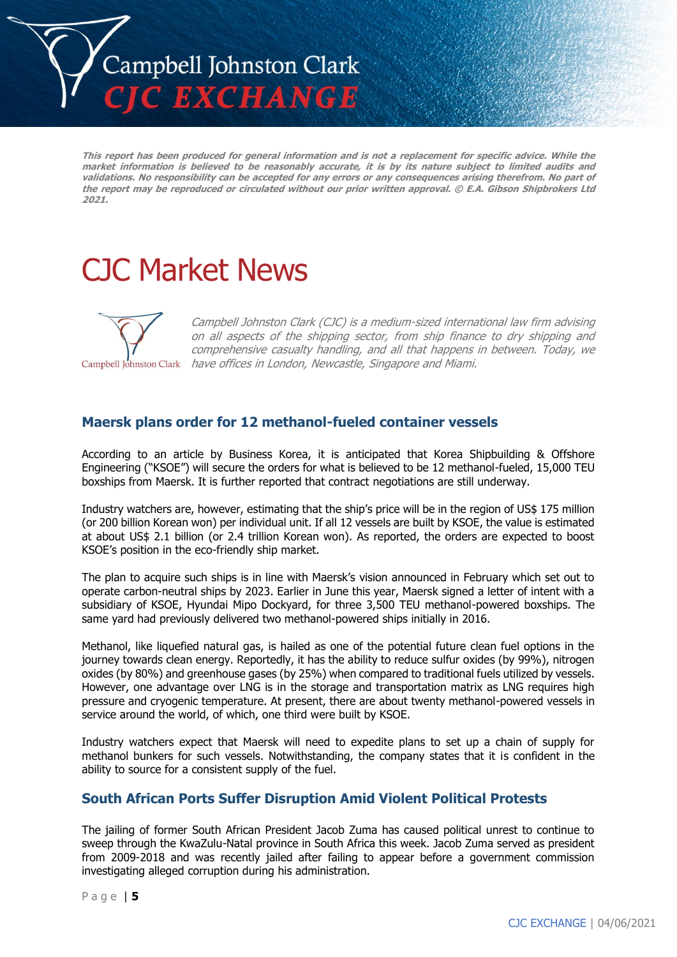

**This report has been produced for general information and is not a replacement for specific advice. While the market information is believed to be reasonably accurate, it is by its nature subject to limited audits and validations. No responsibility can be accepted for any errors or any consequences arising therefrom. No part of the report may be reproduced or circulated without our prior written approval. © E.A. Gibson Shipbrokers Ltd 2021.**

## CJC Market News



Campbell Johnston Clark (CJC) is a medium-sized international law firm advising on all aspects of the shipping sector, from ship finance to dry shipping and comprehensive casualty handling, and all that happens in between. Today, we Campbell Johnston Clark have offices in London, Newcastle, Singapore and Miami.

### **Maersk plans order for 12 methanol-fueled container vessels**

According to an article by Business Korea, it is anticipated that Korea Shipbuilding & Offshore Engineering ("KSOE") will secure the orders for what is believed to be 12 methanol-fueled, 15,000 TEU boxships from Maersk. It is further reported that contract negotiations are still underway.

Industry watchers are, however, estimating that the ship's price will be in the region of US\$ 175 million (or 200 billion Korean won) per individual unit. If all 12 vessels are built by KSOE, the value is estimated at about US\$ 2.1 billion (or 2.4 trillion Korean won). As reported, the orders are expected to boost KSOE's position in the eco-friendly ship market.

The plan to acquire such ships is in line with Maersk's vision announced in February which set out to operate carbon-neutral ships by 2023. Earlier in June this year, Maersk signed a letter of intent with a subsidiary of KSOE, Hyundai Mipo Dockyard, for three 3,500 TEU methanol-powered boxships. The same yard had previously delivered two methanol-powered ships initially in 2016.

Methanol, like liquefied natural gas, is hailed as one of the potential future clean fuel options in the journey towards clean energy. Reportedly, it has the ability to reduce sulfur oxides (by 99%), nitrogen oxides (by 80%) and greenhouse gases (by 25%) when compared to traditional fuels utilized by vessels. However, one advantage over LNG is in the storage and transportation matrix as LNG requires high pressure and cryogenic temperature. At present, there are about twenty methanol-powered vessels in service around the world, of which, one third were built by KSOE.

Industry watchers expect that Maersk will need to expedite plans to set up a chain of supply for methanol bunkers for such vessels. Notwithstanding, the company states that it is confident in the ability to source for a consistent supply of the fuel.

### **South African Ports Suffer Disruption Amid Violent Political Protests**

The jailing of former South African President Jacob Zuma has caused political unrest to continue to sweep through the KwaZulu-Natal province in South Africa this week. Jacob Zuma served as president from 2009-2018 and was recently jailed after failing to appear before a government commission investigating alleged corruption during his administration.